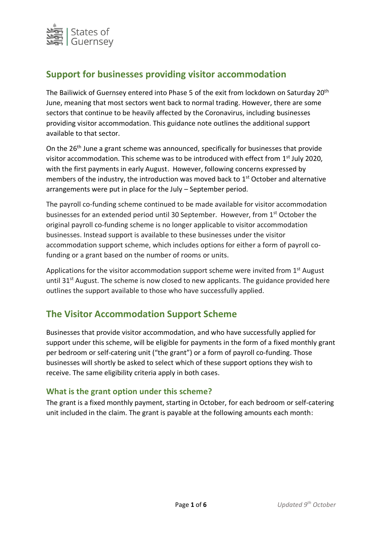

# **Support for businesses providing visitor accommodation**

The Bailiwick of Guernsey entered into Phase 5 of the exit from lockdown on Saturday 20<sup>th</sup> June, meaning that most sectors went back to normal trading. However, there are some sectors that continue to be heavily affected by the Coronavirus, including businesses providing visitor accommodation. This guidance note outlines the additional support available to that sector.

On the 26<sup>th</sup> June a grant scheme was announced, specifically for businesses that provide visitor accommodation. This scheme was to be introduced with effect from 1<sup>st</sup> July 2020, with the first payments in early August. However, following concerns expressed by members of the industry, the introduction was moved back to 1<sup>st</sup> October and alternative arrangements were put in place for the July – September period.

The payroll co-funding scheme continued to be made available for visitor accommodation businesses for an extended period until 30 September. However, from 1<sup>st</sup> October the original payroll co-funding scheme is no longer applicable to visitor accommodation businesses. Instead support is available to these businesses under the visitor accommodation support scheme, which includes options for either a form of payroll cofunding or a grant based on the number of rooms or units.

Applications for the visitor accommodation support scheme were invited from  $1<sup>st</sup>$  August until  $31<sup>st</sup>$  August. The scheme is now closed to new applicants. The guidance provided here outlines the support available to those who have successfully applied.

# **The Visitor Accommodation Support Scheme**

Businesses that provide visitor accommodation, and who have successfully applied for support under this scheme, will be eligible for payments in the form of a fixed monthly grant per bedroom or self-catering unit ("the grant") or a form of payroll co-funding. Those businesses will shortly be asked to select which of these support options they wish to receive. The same eligibility criteria apply in both cases.

# **What is the grant option under this scheme?**

The grant is a fixed monthly payment, starting in October, for each bedroom or self-catering unit included in the claim. The grant is payable at the following amounts each month: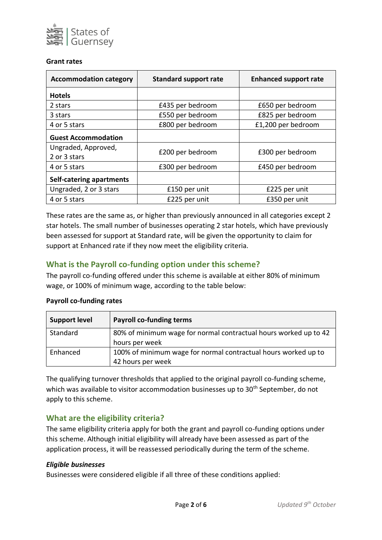

#### **Grant rates**

| <b>Accommodation category</b>       | <b>Standard support rate</b> | <b>Enhanced support rate</b> |
|-------------------------------------|------------------------------|------------------------------|
| <b>Hotels</b>                       |                              |                              |
| 2 stars                             | £435 per bedroom             | £650 per bedroom             |
| 3 stars                             | £550 per bedroom             | £825 per bedroom             |
| 4 or 5 stars                        | £800 per bedroom             | £1,200 per bedroom           |
| <b>Guest Accommodation</b>          |                              |                              |
| Ungraded, Approved,<br>2 or 3 stars | £200 per bedroom             | £300 per bedroom             |
| 4 or 5 stars                        | £300 per bedroom             | £450 per bedroom             |
| Self-catering apartments            |                              |                              |
| Ungraded, 2 or 3 stars              | £150 per unit                | £225 per unit                |
| 4 or 5 stars                        | £225 per unit                | £350 per unit                |

These rates are the same as, or higher than previously announced in all categories except 2 star hotels. The small number of businesses operating 2 star hotels, which have previously been assessed for support at Standard rate, will be given the opportunity to claim for support at Enhanced rate if they now meet the eligibility criteria.

# **What is the Payroll co-funding option under this scheme?**

The payroll co-funding offered under this scheme is available at either 80% of minimum wage, or 100% of minimum wage, according to the table below:

| <b>Support level</b> | <b>Payroll co-funding terms</b>                                  |  |
|----------------------|------------------------------------------------------------------|--|
| Standard             | 80% of minimum wage for normal contractual hours worked up to 42 |  |
|                      | hours per week                                                   |  |
| Enhanced             | 100% of minimum wage for normal contractual hours worked up to   |  |
|                      | 42 hours per week                                                |  |

#### **Payroll co-funding rates**

The qualifying turnover thresholds that applied to the original payroll co-funding scheme, which was available to visitor accommodation businesses up to 30<sup>th</sup> September, do not apply to this scheme.

# **What are the eligibility criteria?**

The same eligibility criteria apply for both the grant and payroll co-funding options under this scheme. Although initial eligibility will already have been assessed as part of the application process, it will be reassessed periodically during the term of the scheme.

#### *Eligible businesses*

Businesses were considered eligible if all three of these conditions applied: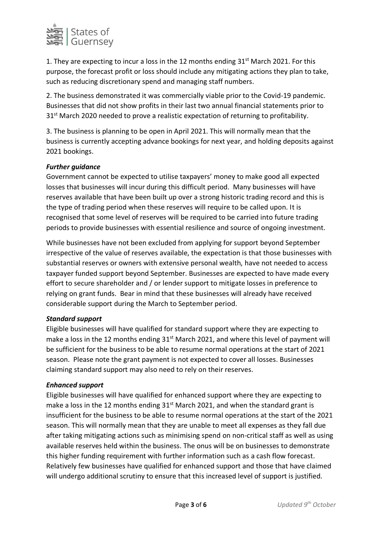

1. They are expecting to incur a loss in the 12 months ending  $31<sup>st</sup>$  March 2021. For this purpose, the forecast profit or loss should include any mitigating actions they plan to take, such as reducing discretionary spend and managing staff numbers.

2. The business demonstrated it was commercially viable prior to the Covid-19 pandemic. Businesses that did not show profits in their last two annual financial statements prior to 31<sup>st</sup> March 2020 needed to prove a realistic expectation of returning to profitability.

3. The business is planning to be open in April 2021. This will normally mean that the business is currently accepting advance bookings for next year, and holding deposits against 2021 bookings.

## *Further guidance*

Government cannot be expected to utilise taxpayers' money to make good all expected losses that businesses will incur during this difficult period. Many businesses will have reserves available that have been built up over a strong historic trading record and this is the type of trading period when these reserves will require to be called upon. It is recognised that some level of reserves will be required to be carried into future trading periods to provide businesses with essential resilience and source of ongoing investment.

While businesses have not been excluded from applying for support beyond September irrespective of the value of reserves available, the expectation is that those businesses with substantial reserves or owners with extensive personal wealth, have not needed to access taxpayer funded support beyond September. Businesses are expected to have made every effort to secure shareholder and / or lender support to mitigate losses in preference to relying on grant funds. Bear in mind that these businesses will already have received considerable support during the March to September period.

#### *Standard support*

Eligible businesses will have qualified for standard support where they are expecting to make a loss in the 12 months ending  $31<sup>st</sup>$  March 2021, and where this level of payment will be sufficient for the business to be able to resume normal operations at the start of 2021 season. Please note the grant payment is not expected to cover all losses. Businesses claiming standard support may also need to rely on their reserves.

#### *Enhanced support*

Eligible businesses will have qualified for enhanced support where they are expecting to make a loss in the 12 months ending  $31<sup>st</sup>$  March 2021, and when the standard grant is insufficient for the business to be able to resume normal operations at the start of the 2021 season. This will normally mean that they are unable to meet all expenses as they fall due after taking mitigating actions such as minimising spend on non-critical staff as well as using available reserves held within the business. The onus will be on businesses to demonstrate this higher funding requirement with further information such as a cash flow forecast. Relatively few businesses have qualified for enhanced support and those that have claimed will undergo additional scrutiny to ensure that this increased level of support is justified.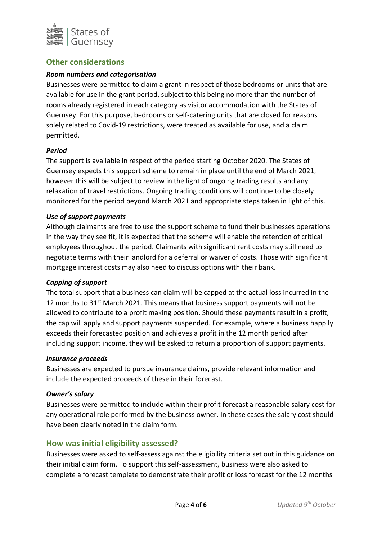

# **Other considerations**

## *Room numbers and categorisation*

Businesses were permitted to claim a grant in respect of those bedrooms or units that are available for use in the grant period, subject to this being no more than the number of rooms already registered in each category as visitor accommodation with the States of Guernsey. For this purpose, bedrooms or self-catering units that are closed for reasons solely related to Covid-19 restrictions, were treated as available for use, and a claim permitted.

#### *Period*

The support is available in respect of the period starting October 2020. The States of Guernsey expects this support scheme to remain in place until the end of March 2021, however this will be subject to review in the light of ongoing trading results and any relaxation of travel restrictions. Ongoing trading conditions will continue to be closely monitored for the period beyond March 2021 and appropriate steps taken in light of this.

#### *Use of support payments*

Although claimants are free to use the support scheme to fund their businesses operations in the way they see fit, it is expected that the scheme will enable the retention of critical employees throughout the period. Claimants with significant rent costs may still need to negotiate terms with their landlord for a deferral or waiver of costs. Those with significant mortgage interest costs may also need to discuss options with their bank.

#### *Capping of support*

The total support that a business can claim will be capped at the actual loss incurred in the 12 months to  $31<sup>st</sup>$  March 2021. This means that business support payments will not be allowed to contribute to a profit making position. Should these payments result in a profit, the cap will apply and support payments suspended. For example, where a business happily exceeds their forecasted position and achieves a profit in the 12 month period after including support income, they will be asked to return a proportion of support payments.

#### *Insurance proceeds*

Businesses are expected to pursue insurance claims, provide relevant information and include the expected proceeds of these in their forecast.

#### *Owner's salary*

Businesses were permitted to include within their profit forecast a reasonable salary cost for any operational role performed by the business owner. In these cases the salary cost should have been clearly noted in the claim form.

# **How was initial eligibility assessed?**

Businesses were asked to self-assess against the eligibility criteria set out in this guidance on their initial claim form. To support this self-assessment, business were also asked to complete a forecast template to demonstrate their profit or loss forecast for the 12 months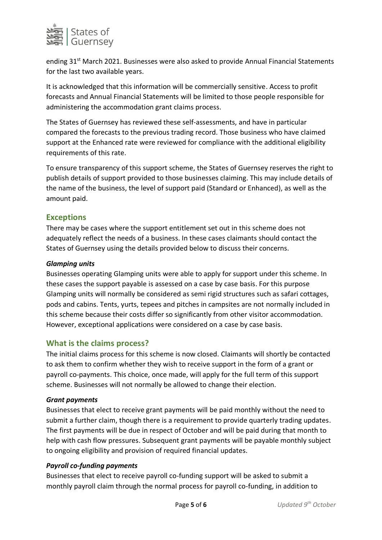

ending 31<sup>st</sup> March 2021. Businesses were also asked to provide Annual Financial Statements for the last two available years.

It is acknowledged that this information will be commercially sensitive. Access to profit forecasts and Annual Financial Statements will be limited to those people responsible for administering the accommodation grant claims process.

The States of Guernsey has reviewed these self-assessments, and have in particular compared the forecasts to the previous trading record. Those business who have claimed support at the Enhanced rate were reviewed for compliance with the additional eligibility requirements of this rate.

To ensure transparency of this support scheme, the States of Guernsey reserves the right to publish details of support provided to those businesses claiming. This may include details of the name of the business, the level of support paid (Standard or Enhanced), as well as the amount paid.

# **Exceptions**

There may be cases where the support entitlement set out in this scheme does not adequately reflect the needs of a business. In these cases claimants should contact the States of Guernsey using the details provided below to discuss their concerns.

#### *Glamping units*

Businesses operating Glamping units were able to apply for support under this scheme. In these cases the support payable is assessed on a case by case basis. For this purpose Glamping units will normally be considered as semi rigid structures such as safari cottages, pods and cabins. Tents, yurts, tepees and pitches in campsites are not normally included in this scheme because their costs differ so significantly from other visitor accommodation. However, exceptional applications were considered on a case by case basis.

# **What is the claims process?**

The initial claims process for this scheme is now closed. Claimants will shortly be contacted to ask them to confirm whether they wish to receive support in the form of a grant or payroll co-payments. This choice, once made, will apply for the full term of this support scheme. Businesses will not normally be allowed to change their election.

#### *Grant payments*

Businesses that elect to receive grant payments will be paid monthly without the need to submit a further claim, though there is a requirement to provide quarterly trading updates. The first payments will be due in respect of October and will be paid during that month to help with cash flow pressures. Subsequent grant payments will be payable monthly subject to ongoing eligibility and provision of required financial updates.

# *Payroll co-funding payments*

Businesses that elect to receive payroll co-funding support will be asked to submit a monthly payroll claim through the normal process for payroll co-funding, in addition to